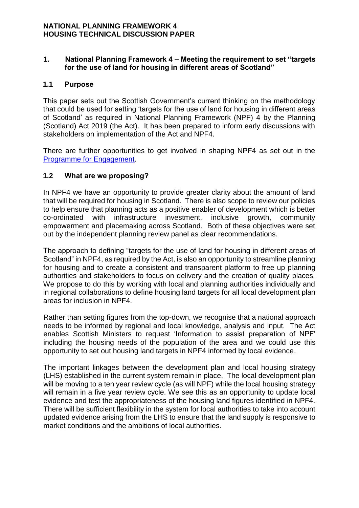## **1. National Planning Framework 4 – Meeting the requirement to set "targets for the use of land for housing in different areas of Scotland"**

## **1.1 Purpose**

This paper sets out the Scottish Government's current thinking on the methodology that could be used for setting 'targets for the use of land for housing in different areas of Scotland' as required in National Planning Framework (NPF) 4 by the Planning (Scotland) Act 2019 (the Act). It has been prepared to inform early discussions with stakeholders on implementation of the Act and NPF4.

There are further opportunities to get involved in shaping NPF4 as set out in the [Programme for Engagement.](http://www.transformingplanning.scot/media/1149/programme-for-engagement-final-for-web-jan-2020.pdf)

## **1.2 What are we proposing?**

In NPF4 we have an opportunity to provide greater clarity about the amount of land that will be required for housing in Scotland. There is also scope to review our policies to help ensure that planning acts as a positive enabler of development which is better co-ordinated with infrastructure investment, inclusive growth, community empowerment and placemaking across Scotland. Both of these objectives were set out by the independent planning review panel as clear recommendations.

The approach to defining "targets for the use of land for housing in different areas of Scotland" in NPF4, as required by the Act, is also an opportunity to streamline planning for housing and to create a consistent and transparent platform to free up planning authorities and stakeholders to focus on delivery and the creation of quality places. We propose to do this by working with local and planning authorities individually and in regional collaborations to define housing land targets for all local development plan areas for inclusion in NPF4.

Rather than setting figures from the top-down, we recognise that a national approach needs to be informed by regional and local knowledge, analysis and input. The Act enables Scottish Ministers to request 'Information to assist preparation of NPF' including the housing needs of the population of the area and we could use this opportunity to set out housing land targets in NPF4 informed by local evidence.

The important linkages between the development plan and local housing strategy (LHS) established in the current system remain in place. The local development plan will be moving to a ten year review cycle (as will NPF) while the local housing strategy will remain in a five year review cycle. We see this as an opportunity to update local evidence and test the appropriateness of the housing land figures identified in NPF4. There will be sufficient flexibility in the system for local authorities to take into account updated evidence arising from the LHS to ensure that the land supply is responsive to market conditions and the ambitions of local authorities.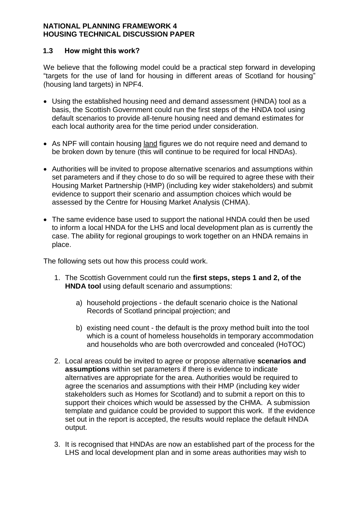## **1.3 How might this work?**

We believe that the following model could be a practical step forward in developing "targets for the use of land for housing in different areas of Scotland for housing" (housing land targets) in NPF4.

- Using the established housing need and demand assessment (HNDA) tool as a basis, the Scottish Government could run the first steps of the HNDA tool using default scenarios to provide all-tenure housing need and demand estimates for each local authority area for the time period under consideration.
- As NPF will contain housing land figures we do not require need and demand to be broken down by tenure (this will continue to be required for local HNDAs).
- Authorities will be invited to propose alternative scenarios and assumptions within set parameters and if they chose to do so will be required to agree these with their Housing Market Partnership (HMP) (including key wider stakeholders) and submit evidence to support their scenario and assumption choices which would be assessed by the Centre for Housing Market Analysis (CHMA).
- The same evidence base used to support the national HNDA could then be used to inform a local HNDA for the LHS and local development plan as is currently the case. The ability for regional groupings to work together on an HNDA remains in place.

The following sets out how this process could work.

- 1. The Scottish Government could run the **first steps, steps 1 and 2, of the HNDA tool** using default scenario and assumptions:
	- a) household projections the default scenario choice is the National Records of Scotland principal projection; and
	- b) existing need count the default is the proxy method built into the tool which is a count of homeless households in temporary accommodation and households who are both overcrowded and concealed (HoTOC)
- 2. Local areas could be invited to agree or propose alternative **scenarios and assumptions** within set parameters if there is evidence to indicate alternatives are appropriate for the area. Authorities would be required to agree the scenarios and assumptions with their HMP (including key wider stakeholders such as Homes for Scotland) and to submit a report on this to support their choices which would be assessed by the CHMA. A submission template and guidance could be provided to support this work. If the evidence set out in the report is accepted, the results would replace the default HNDA output.
- 3. It is recognised that HNDAs are now an established part of the process for the LHS and local development plan and in some areas authorities may wish to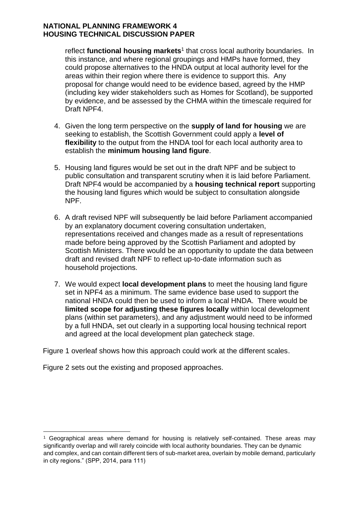reflect functional housing markets<sup>1</sup> that cross local authority boundaries. In this instance, and where regional groupings and HMPs have formed, they could propose alternatives to the HNDA output at local authority level for the areas within their region where there is evidence to support this. Any proposal for change would need to be evidence based, agreed by the HMP (including key wider stakeholders such as Homes for Scotland), be supported by evidence, and be assessed by the CHMA within the timescale required for Draft NPF4.

- 4. Given the long term perspective on the **supply of land for housing** we are seeking to establish, the Scottish Government could apply a **level of flexibility** to the output from the HNDA tool for each local authority area to establish the **minimum housing land figure**.
- 5. Housing land figures would be set out in the draft NPF and be subject to public consultation and transparent scrutiny when it is laid before Parliament. Draft NPF4 would be accompanied by a **housing technical report** supporting the housing land figures which would be subject to consultation alongside NPF.
- 6. A draft revised NPF will subsequently be laid before Parliament accompanied by an explanatory document covering consultation undertaken, representations received and changes made as a result of representations made before being approved by the Scottish Parliament and adopted by Scottish Ministers. There would be an opportunity to update the data between draft and revised draft NPF to reflect up-to-date information such as household projections.
- 7. We would expect **local development plans** to meet the housing land figure set in NPF4 as a minimum. The same evidence base used to support the national HNDA could then be used to inform a local HNDA. There would be **limited scope for adjusting these figures locally** within local development plans (within set parameters), and any adjustment would need to be informed by a full HNDA, set out clearly in a supporting local housing technical report and agreed at the local development plan gatecheck stage.

Figure 1 overleaf shows how this approach could work at the different scales.

Figure 2 sets out the existing and proposed approaches.

1

<sup>1</sup> Geographical areas where demand for housing is relatively self-contained. These areas may significantly overlap and will rarely coincide with local authority boundaries. They can be dynamic and complex, and can contain different tiers of sub-market area, overlain by mobile demand, particularly in city regions." (SPP, 2014, para 111)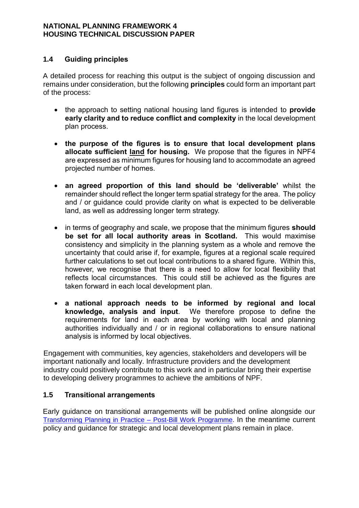## **1.4 Guiding principles**

A detailed process for reaching this output is the subject of ongoing discussion and remains under consideration, but the following **principles** could form an important part of the process:

- the approach to setting national housing land figures is intended to **provide early clarity and to reduce conflict and complexity** in the local development plan process.
- **the purpose of the figures is to ensure that local development plans allocate sufficient land for housing.** We propose that the figures in NPF4 are expressed as minimum figures for housing land to accommodate an agreed projected number of homes.
- **an agreed proportion of this land should be 'deliverable'** whilst the remainder should reflect the longer term spatial strategy for the area. The policy and / or guidance could provide clarity on what is expected to be deliverable land, as well as addressing longer term strategy.
- in terms of geography and scale, we propose that the minimum figures **should be set for all local authority areas in Scotland.** This would maximise consistency and simplicity in the planning system as a whole and remove the uncertainty that could arise if, for example, figures at a regional scale required further calculations to set out local contributions to a shared figure. Within this, however, we recognise that there is a need to allow for local flexibility that reflects local circumstances. This could still be achieved as the figures are taken forward in each local development plan.
- **a national approach needs to be informed by regional and local knowledge, analysis and input**. We therefore propose to define the requirements for land in each area by working with local and planning authorities individually and / or in regional collaborations to ensure national analysis is informed by local objectives.

Engagement with communities, key agencies, stakeholders and developers will be important nationally and locally. Infrastructure providers and the development industry could positively contribute to this work and in particular bring their expertise to developing delivery programmes to achieve the ambitions of NPF.

#### **1.5 Transitional arrangements**

Early guidance on transitional arrangements will be published online alongside our [Transforming Planning in Practice –](https://www.gov.scot/publications/transforming-planning-practice-post-bill-work-programme/) Post-Bill Work Programme. In the meantime current policy and guidance for strategic and local development plans remain in place.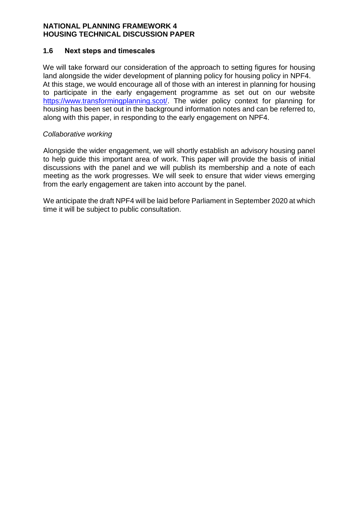#### **1.6 Next steps and timescales**

We will take forward our consideration of the approach to setting figures for housing land alongside the wider development of planning policy for housing policy in NPF4. At this stage, we would encourage all of those with an interest in planning for housing to participate in the early engagement programme as set out on our website [https://www.transformingplanning.scot/.](https://www.transformingplanning.scot/) The wider policy context for planning for housing has been set out in the background information notes and can be referred to, along with this paper, in responding to the early engagement on NPF4.

## *Collaborative working*

Alongside the wider engagement, we will shortly establish an advisory housing panel to help guide this important area of work. This paper will provide the basis of initial discussions with the panel and we will publish its membership and a note of each meeting as the work progresses. We will seek to ensure that wider views emerging from the early engagement are taken into account by the panel.

We anticipate the draft NPF4 will be laid before Parliament in September 2020 at which time it will be subject to public consultation.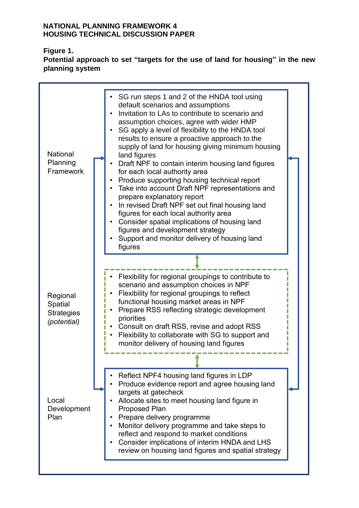# **Figure 1.**

**Potential approach to set "targets for the use of land for housing" in the new planning system**

| <b>National</b><br>Planning<br>Framework                | SG run steps 1 and 2 of the HNDA tool using<br>default scenarios and assumptions<br>Invitation to LAs to contribute to scenario and<br>assumption choices, agree with wider HMP<br>SG apply a level of flexibility to the HNDA tool<br>results to ensure a proactive approach to the<br>supply of land for housing giving minimum housing<br>land figures<br>Draft NPF to contain interim housing land figures<br>$\bullet$<br>for each local authority area<br>Produce supporting housing technical report<br>$\bullet$<br>Take into account Draft NPF representations and<br>٠<br>prepare explanatory report<br>In revised Draft NPF set out final housing land<br>figures for each local authority area<br>Consider spatial implications of housing land<br>figures and development strategy<br>Support and monitor delivery of housing land<br>figures |  |
|---------------------------------------------------------|------------------------------------------------------------------------------------------------------------------------------------------------------------------------------------------------------------------------------------------------------------------------------------------------------------------------------------------------------------------------------------------------------------------------------------------------------------------------------------------------------------------------------------------------------------------------------------------------------------------------------------------------------------------------------------------------------------------------------------------------------------------------------------------------------------------------------------------------------------|--|
| Regional<br>Spatial<br><b>Strategies</b><br>(potential) | Flexibility for regional groupings to contribute to<br>scenario and assumption choices in NPF<br>Flexibility for regional groupings to reflect<br>functional housing market areas in NPF<br>Prepare RSS reflecting strategic development<br>priorities<br>Consult on draft RSS, revise and adopt RSS<br>Flexibility to collaborate with SG to support and<br>monitor delivery of housing land figures                                                                                                                                                                                                                                                                                                                                                                                                                                                      |  |
| Local<br>Development<br>Plan                            | Reflect NPF4 housing land figures in LDP<br>Produce evidence report and agree housing land<br>targets at gatecheck<br>Allocate sites to meet housing land figure in<br><b>Proposed Plan</b><br>Prepare delivery programme<br>Monitor delivery programme and take steps to<br>reflect and respond to market conditions<br>Consider implications of interim HNDA and LHS<br>review on housing land figures and spatial strategy                                                                                                                                                                                                                                                                                                                                                                                                                              |  |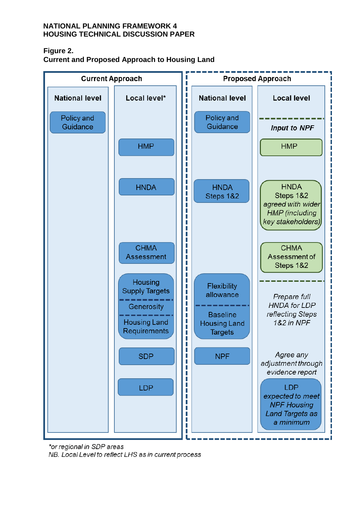## **Figure 2.**

**Current and Proposed Approach to Housing Land**



\*or regional in SDP areas NB. Local Level to reflect LHS as in current process